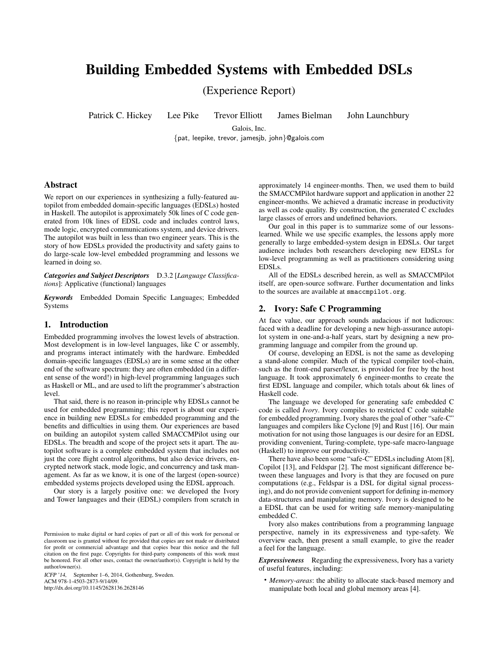# Building Embedded Systems with Embedded DSLs

(Experience Report)

Patrick C. Hickey Lee Pike Trevor Elliott James Bielman John Launchbury

Galois, Inc.

{pat, leepike, trevor, jamesjb, john}@galois.com

#### Abstract

We report on our experiences in synthesizing a fully-featured autopilot from embedded domain-specific languages (EDSLs) hosted in Haskell. The autopilot is approximately 50k lines of C code generated from 10k lines of EDSL code and includes control laws, mode logic, encrypted communications system, and device drivers. The autopilot was built in less than two engineer years. This is the story of how EDSLs provided the productivity and safety gains to do large-scale low-level embedded programming and lessons we learned in doing so.

*Categories and Subject Descriptors* D.3.2 [*Language Classifications*]: Applicative (functional) languages

*Keywords* Embedded Domain Specific Languages; Embedded Systems

#### 1. Introduction

Embedded programming involves the lowest levels of abstraction. Most development is in low-level languages, like C or assembly, and programs interact intimately with the hardware. Embedded domain-specific languages (EDSLs) are in some sense at the other end of the software spectrum: they are often embedded (in a different sense of the word!) in high-level programming languages such as Haskell or ML, and are used to lift the programmer's abstraction level.

That said, there is no reason in-principle why EDSLs cannot be used for embedded programming; this report is about our experience in building new EDSLs for embedded programming and the benefits and difficulties in using them. Our experiences are based on building an autopilot system called SMACCMPilot using our EDSLs. The breadth and scope of the project sets it apart. The autopilot software is a complete embedded system that includes not just the core flight control algorithms, but also device drivers, encrypted network stack, mode logic, and concurrency and task management. As far as we know, it is one of the largest (open-source) embedded systems projects developed using the EDSL approach.

Our story is a largely positive one: we developed the Ivory and Tower languages and their (EDSL) compilers from scratch in

ICFP '14, September 1–6, 2014, Gothenburg, Sweden. ACM 978-1-4503-2873-9/14/09. http://dx.doi.org/10.1145/2628136.2628146

approximately 14 engineer-months. Then, we used them to build the SMACCMPilot hardware support and application in another 22 engineer-months. We achieved a dramatic increase in productivity as well as code quality. By construction, the generated C excludes large classes of errors and undefined behaviors.

Our goal in this paper is to summarize some of our lessonslearned. While we use specific examples, the lessons apply more generally to large embedded-system design in EDSLs. Our target audience includes both researchers developing new EDSLs for low-level programming as well as practitioners considering using EDSLs.

All of the EDSLs described herein, as well as SMACCMPilot itself, are open-source software. Further documentation and links to the sources are available at smaccmpilot.org.

#### 2. Ivory: Safe C Programming

At face value, our approach sounds audacious if not ludicrous: faced with a deadline for developing a new high-assurance autopilot system in one-and-a-half years, start by designing a new programming language and compiler from the ground up.

Of course, developing an EDSL is not the same as developing a stand-alone compiler. Much of the typical compiler tool-chain, such as the front-end parser/lexer, is provided for free by the host language. It took approximately 6 engineer-months to create the first EDSL language and compiler, which totals about 6k lines of Haskell code.

The language we developed for generating safe embedded C code is called *Ivory*. Ivory compiles to restricted C code suitable for embedded programming. Ivory shares the goal of other "safe-C" languages and compilers like Cyclone [9] and Rust [16]. Our main motivation for not using those languages is our desire for an EDSL providing convenient, Turing-complete, type-safe macro-language (Haskell) to improve our productivity.

There have also been some "safe-C" EDSLs including Atom [8], Copilot [13], and Feldspar [2]. The most significant difference between these languages and Ivory is that they are focused on pure computations (e.g., Feldspar is a DSL for digital signal processing), and do not provide convenient support for defining in-memory data-structures and manipulating memory. Ivory is designed to be a EDSL that can be used for writing safe memory-manipulating embedded C.

Ivory also makes contributions from a programming language perspective, namely in its expressiveness and type-safety. We overview each, then present a small example, to give the reader a feel for the language.

*Expressiveness* Regarding the expressiveness, Ivory has a variety of useful features, including:

• *Memory-areas*: the ability to allocate stack-based memory and manipulate both local and global memory areas [4].

Permission to make digital or hard copies of part or all of this work for personal or classroom use is granted without fee provided that copies are not made or distributed for profit or commercial advantage and that copies bear this notice and the full citation on the first page. Copyrights for third-party components of this work must be honored. For all other uses, contact the owner/author(s). Copyright is held by the author/owner(s).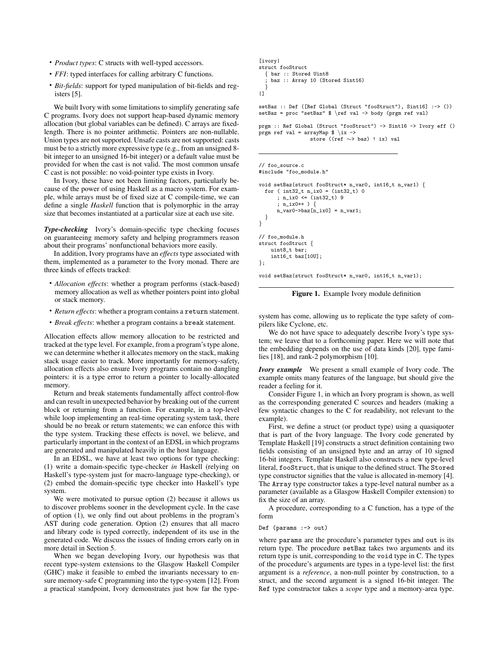- *Product types*: C structs with well-typed accessors.
- *FFI*: typed interfaces for calling arbitrary C functions.
- *Bit-fields*: support for typed manipulation of bit-fields and registers [5].

We built Ivory with some limitations to simplify generating safe C programs. Ivory does not support heap-based dynamic memory allocation (but global variables can be defined). C arrays are fixedlength. There is no pointer arithmetic. Pointers are non-nullable. Union types are not supported. Unsafe casts are not supported: casts must be to a strictly more expressive type (e.g., from an unsigned 8 bit integer to an unsigned 16-bit integer) or a default value must be provided for when the cast is not valid. The most common unsafe C cast is not possible: no void-pointer type exists in Ivory.

In Ivory, these have not been limiting factors, particularly because of the power of using Haskell as a macro system. For example, while arrays must be of fixed size at C compile-time, we can define a single *Haskell* function that is polymorphic in the array size that becomes instantiated at a particular size at each use site.

*Type-checking* Ivory's domain-specific type checking focuses on guaranteeing memory safety and helping programmers reason about their programs' nonfunctional behaviors more easily.

In addition, Ivory programs have an *effects* type associated with them, implemented as a parameter to the Ivory monad. There are three kinds of effects tracked:

- *Allocation effects*: whether a program performs (stack-based) memory allocation as well as whether pointers point into global or stack memory.
- *Return effects*: whether a program contains a return statement.
- *Break effects*: whether a program contains a break statement.

Allocation effects allow memory allocation to be restricted and tracked at the type level. For example, from a program's type alone, we can determine whether it allocates memory on the stack, making stack usage easier to track. More importantly for memory-safety, allocation effects also ensure Ivory programs contain no dangling pointers: it is a type error to return a pointer to locally-allocated memory.

Return and break statements fundamentally affect control-flow and can result in unexpected behavior by breaking out of the current block or returning from a function. For example, in a top-level while loop implementing an real-time operating system task, there should be no break or return statements; we can enforce this with the type system. Tracking these effects is novel, we believe, and particularly important in the context of an EDSL in which programs are generated and manipulated heavily in the host language.

In an EDSL, we have at least two options for type checking: (1) write a domain-specific type-checker *in* Haskell (relying on Haskell's type-system just for macro-language type-checking), or (2) embed the domain-specific type checker into Haskell's type system.

We were motivated to pursue option (2) because it allows us to discover problems sooner in the development cycle. In the case of option (1), we only find out about problems in the program's AST during code generation. Option (2) ensures that all macro and library code is typed correctly, independent of its use in the generated code. We discuss the issues of finding errors early on in more detail in Section 5.

When we began developing Ivory, our hypothesis was that recent type-system extensions to the Glasgow Haskell Compiler (GHC) make it feasible to embed the invariants necessary to ensure memory-safe C programming into the type-system [12]. From a practical standpoint, Ivory demonstrates just how far the type-

```
[ivory]
struct fooStruct
  { bar :: Stored Uint8
   baz :: Array 10 (Stored Sint16)
  }
|]setBaz :: Def ([Ref Global (Struct "fooStruct"), Sint16] :-> ())
setBaz = proc "setBaz" \ref val -> body (prgm ref val)
prgm :: Ref Global (Struct "fooStruct") -> Sint16 -> Ivory eff ()
prgm ref val = arrayMap \frac{1}{x} \ix ->
                 store ((ref ∼> baz) ! ix) val
```

```
\frac{1}{\sqrt{2}} foo source c
#include "foo_module.h"
void setBaz(struct fooStruct* n_var0, int16_t n_var1) {
 for ( int32_t n_ix0 = (int32_t) 0
      ; n_ix0 <= (int32_t) 9
      ; n_ix0++ ) {
      n_var0->baz[n_ix0] = n_var1;}
}
// foo_module.h
struct fooStruct {
    uint8_t bar;
    int16_t baz[10U];
};
void setBaz(struct fooStruct* n_var0, int16_t n_var1);
```


system has come, allowing us to replicate the type safety of compilers like Cyclone, etc.

We do not have space to adequately describe Ivory's type system; we leave that to a forthcoming paper. Here we will note that the embedding depends on the use of data kinds [20], type families [18], and rank-2 polymorphism [10].

*Ivory example* We present a small example of Ivory code. The example omits many features of the language, but should give the reader a feeling for it.

Consider Figure 1, in which an Ivory program is shown, as well as the corresponding generated C sources and headers (making a few syntactic changes to the C for readability, not relevant to the example).

First, we define a struct (or product type) using a quasiquoter that is part of the Ivory language. The Ivory code generated by Template Haskell [19] constructs a struct definition containing two fields consisting of an unsigned byte and an array of 10 signed 16-bit integers. Template Haskell also constructs a new type-level literal, fooStruct, that is unique to the defined struct. The Stored type constructor signifies that the value is allocated in-memory [4]. The Array type constructor takes a type-level natural number as a parameter (available as a Glasgow Haskell Compiler extension) to fix the size of an array.

A procedure, corresponding to a C function, has a type of the form

#### Def (params :-> out)

where params are the procedure's parameter types and out is its return type. The procedure setBaz takes two arguments and its return type is unit, corresponding to the void type in C. The types of the procedure's arguments are types in a type-level list: the first argument is a *reference*, a non-null pointer by construction, to a struct, and the second argument is a signed 16-bit integer. The Ref type constructor takes a *scope* type and a memory-area type.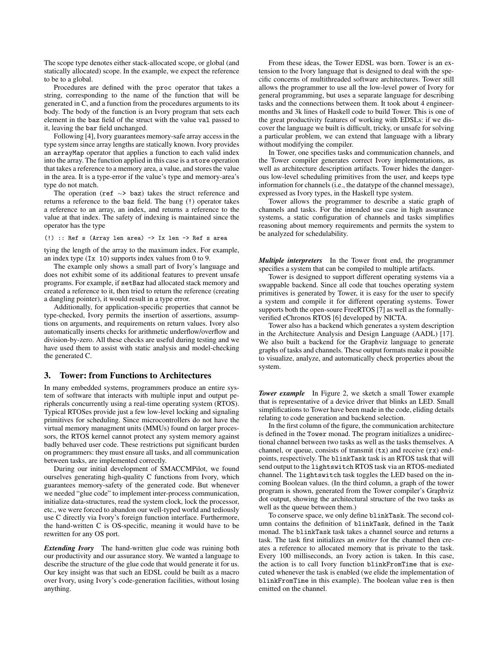The scope type denotes either stack-allocated scope, or global (and statically allocated) scope. In the example, we expect the reference to be to a global.

Procedures are defined with the proc operator that takes a string, corresponding to the name of the function that will be generated in C, and a function from the procedures arguments to its body. The body of the function is an Ivory program that sets each element in the baz field of the struct with the value val passed to it, leaving the bar field unchanged.

Following [4], Ivory guarantees memory-safe array access in the type system since array lengths are statically known. Ivory provides an arrayMap operator that applies a function to each valid index into the array. The function applied in this case is a store operation that takes a reference to a memory area, a value, and stores the value in the area. It is a type-error if the value's type and memory-area's type do not match.

The operation (ref <sup>∼</sup>> baz) takes the struct reference and returns a reference to the baz field. The bang (!) operator takes a reference to an array, an index, and returns a reference to the value at that index. The safety of indexing is maintained since the operator has the type

(!) :: Ref s (Array len area) -> Ix len -> Ref s area

tying the length of the array to the maximum index. For example, an index type (Ix 10) supports index values from 0 to 9.

The example only shows a small part of Ivory's language and does not exhibit some of its additional features to prevent unsafe programs. For example, if setBaz had allocated stack memory and created a reference to it, then tried to return the reference (creating a dangling pointer), it would result in a type error.

Additionally, for application-specific properties that cannot be type-checked, Ivory permits the insertion of assertions, assumptions on arguments, and requirements on return values. Ivory also automatically inserts checks for arithmetic underflow/overflow and division-by-zero. All these checks are useful during testing and we have used them to assist with static analysis and model-checking the generated C.

## 3. Tower: from Functions to Architectures

In many embedded systems, programmers produce an entire system of software that interacts with multiple input and output peripherals concurrently using a real-time operating system (RTOS). Typical RTOSes provide just a few low-level locking and signaling primitives for scheduling. Since microcontrollers do not have the virtual memory managment units (MMUs) found on larger processors, the RTOS kernel cannot protect any system memory against badly behaved user code. These restrictions put significant burden on programmers: they must ensure all tasks, and all communication between tasks, are implemented correctly.

During our initial development of SMACCMPilot, we found ourselves generating high-quality C functions from Ivory, which guarantees memory-safety of the generated code. But whenever we needed "glue code" to implement inter-process communication, initialize data-structures, read the system clock, lock the processor, etc., we were forced to abandon our well-typed world and tediously use C directly via Ivory's foreign function interface. Furthermore, the hand-written C is OS-specific, meaning it would have to be rewritten for any OS port.

*Extending Ivory* The hand-written glue code was ruining both our productivity and our assurance story. We wanted a language to describe the structure of the glue code that would generate it for us. Our key insight was that such an EDSL could be built as a macro over Ivory, using Ivory's code-generation facilities, without losing anything.

From these ideas, the Tower EDSL was born. Tower is an extension to the Ivory language that is designed to deal with the specific concerns of multithreaded software architectures. Tower still allows the programmer to use all the low-level power of Ivory for general programming, but uses a separate language for describing tasks and the connections between them. It took about 4 engineermonths and 3k lines of Haskell code to build Tower. This is one of the great productivity features of working with EDSLs: if we discover the language we built is difficult, tricky, or unsafe for solving a particular problem, we can extend that language with a library without modifying the compiler.

In Tower, one specifies tasks and communication channels, and the Tower compiler generates correct Ivory implementations, as well as architecture description artifacts. Tower hides the dangerous low-level scheduling primitives from the user, and keeps type information for channels (i.e., the datatype of the channel message), expressed as Ivory types, in the Haskell type system.

Tower allows the programmer to describe a static graph of channels and tasks. For the intended use case in high assurance systems, a static configuration of channels and tasks simplifies reasoning about memory requirements and permits the system to be analyzed for schedulability.

*Multiple interpreters* In the Tower front end, the programmer specifies a system that can be compiled to multiple artifacts.

Tower is designed to support different operating systems via a swappable backend. Since all code that touches operating system primitives is generated by Tower, it is easy for the user to specify a system and compile it for different operating systems. Tower supports both the open-soure FreeRTOS [7] as well as the formallyverified eChronos RTOS [6] developed by NICTA.

Tower also has a backend which generates a system description in the Architecture Analysis and Design Language (AADL) [17]. We also built a backend for the Graphviz language to generate graphs of tasks and channels. These output formats make it possible to visualize, analyze, and automatically check properties about the system.

*Tower example* In Figure 2, we sketch a small Tower example that is representative of a device driver that blinks an LED. Small simplifications to Tower have been made in the code, eliding details relating to code generation and backend selection.

In the first column of the figure, the communication architecture is defined in the Tower monad. The program initializes a unidirectional channel between two tasks as well as the tasks themselves. A channel, or queue, consists of transmit  $(tx)$  and receive  $(rx)$  endpoints, respectively. The blinkTask task is an RTOS task that will send output to the lightswitch RTOS task via an RTOS-mediated channel. The lightswitch task toggles the LED based on the incoming Boolean values. (In the third column, a graph of the tower program is shown, generated from the Tower compiler's Graphviz dot output, showing the architectural structure of the two tasks as well as the queue between them.)

To conserve space, we only define blinkTask. The second column contains the definition of blinkTask, defined in the Task monad. The blinkTask task takes a channel source and returns a task. The task first initializes an *emitter* for the channel then creates a reference to allocated memory that is private to the task. Every 100 milliseconds, an Ivory action is taken. In this case, the action is to call Ivory function blinkFromTime that is executed whenever the task is enabled (we elide the implementation of blinkFromTime in this example). The boolean value res is then emitted on the channel.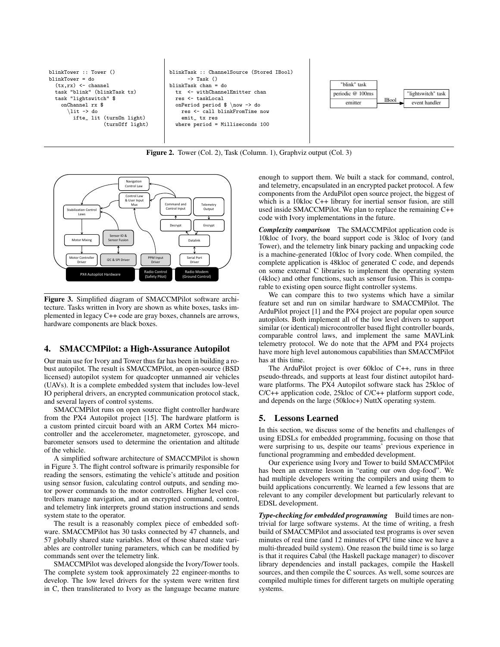

Figure 2. Tower (Col. 2), Task (Column. 1), Graphviz output (Col. 3)



Figure 3. Simplified diagram of SMACCMPilot software architecture. Tasks written in Ivory are shown as white boxes, tasks implemented in legacy C++ code are gray boxes, channels are arrows, hardware components are black boxes.

## 4. SMACCMPilot: a High-Assurance Autopilot

Our main use for Ivory and Tower thus far has been in building a robust autopilot. The result is SMACCMPilot, an open-source (BSD licensed) autopilot system for quadcopter unmanned air vehicles (UAVs). It is a complete embedded system that includes low-level IO peripheral drivers, an encrypted communication protocol stack, and several layers of control systems.

SMACCMPilot runs on open source flight controller hardware from the PX4 Autopilot project [15]. The hardware platform is a custom printed circuit board with an ARM Cortex M4 microcontroller and the accelerometer, magnetometer, gyroscope, and barometer sensors used to determine the orientation and altitude of the vehicle.

A simplified software architecture of SMACCMPilot is shown in Figure 3. The flight control software is primarily responsible for reading the sensors, estimating the vehicle's attitude and position using sensor fusion, calculating control outputs, and sending motor power commands to the motor controllers. Higher level controllers manage navigation, and an encrypted command, control, and telemetry link interprets ground station instructions and sends system state to the operator.

The result is a reasonably complex piece of embedded software. SMACCMPilot has 30 tasks connected by 47 channels, and 57 globally shared state variables. Most of those shared state variables are controller tuning parameters, which can be modified by commands sent over the telemetry link.

SMACCMPilot was developed alongside the Ivory/Tower tools. The complete system took approximately 22 engineer-months to develop. The low level drivers for the system were written first in C, then transliterated to Ivory as the language became mature enough to support them. We built a stack for command, control, and telemetry, encapsulated in an encrypted packet protocol. A few components from the ArduPilot open source project, the biggest of which is a 10kloc C++ library for inertial sensor fusion, are still used inside SMACCMPilot. We plan to replace the remaining C++ code with Ivory implementations in the future.

*Complexity comparison* The SMACCMPilot application code is 10kloc of Ivory, the board support code is 3kloc of Ivory (and Tower), and the telemetry link binary packing and unpacking code is a machine-generated 10kloc of Ivory code. When compiled, the complete application is 48kloc of generated C code, and depends on some external C libraries to implement the operating system (4kloc) and other functions, such as sensor fusion. This is comparable to existing open source flight controller systems.

We can compare this to two systems which have a similar feature set and run on similar hardware to SMACCMPilot. The ArduPilot project [1] and the PX4 project are popular open source autopilots. Both implement all of the low level drivers to support similar (or identical) microcontroller based flight controller boards, comparable control laws, and implement the same MAVLink telemetry protocol. We do note that the APM and PX4 projects have more high level autonomous capabilities than SMACCMPilot has at this time.

The ArduPilot project is over 60kloc of C++, runs in three pseudo-threads, and supports at least four distinct autopilot hardware platforms. The PX4 Autopilot software stack has 25kloc of C/C++ application code, 25kloc of C/C++ platform support code, and depends on the large (50kloc+) NuttX operating system.

#### 5. Lessons Learned

In this section, we discuss some of the benefits and challenges of using EDSLs for embedded programming, focusing on those that were surprising to us, despite our teams' previous experience in functional programming and embedded development.

Our experience using Ivory and Tower to build SMACCMPilot has been an extreme lesson in "eating our own dog-food". We had multiple developers writing the compilers and using them to build applications concurrently. We learned a few lessons that are relevant to any compiler development but particularly relevant to EDSL development.

*Type-checking for embedded programming* Build times are nontrivial for large software systems. At the time of writing, a fresh build of SMACCMPilot and associated test programs is over seven minutes of real time (and 12 minutes of CPU time since we have a multi-threaded build system). One reason the build time is so large is that it requires Cabal (the Haskell package manager) to discover library dependencies and install packages, compile the Haskell sources, and then compile the C sources. As well, some sources are compiled multiple times for different targets on multiple operating systems.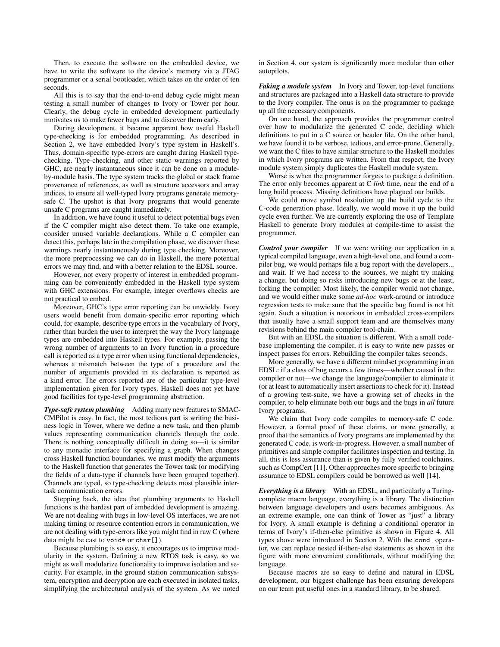Then, to execute the software on the embedded device, we have to write the software to the device's memory via a JTAG programmer or a serial bootloader, which takes on the order of ten seconds.

All this is to say that the end-to-end debug cycle might mean testing a small number of changes to Ivory or Tower per hour. Clearly, the debug cycle in embedded development particularly motivates us to make fewer bugs and to discover them early.

During development, it became apparent how useful Haskell type-checking is for embedded programming. As described in Section 2, we have embedded Ivory's type system in Haskell's. Thus, domain-specific type-errors are caught during Haskell typechecking. Type-checking, and other static warnings reported by GHC, are nearly instantaneous since it can be done on a moduleby-module basis. The type system tracks the global or stack frame provenance of references, as well as structure accessors and array indices, to ensure all well-typed Ivory programs generate memorysafe C. The upshot is that Ivory programs that would generate unsafe C programs are caught immediately.

In addition, we have found it useful to detect potential bugs even if the C compiler might also detect them. To take one example, consider unused variable declarations. While a C compiler can detect this, perhaps late in the compilation phase, we discover these warnings nearly instantaneously during type checking. Moreover, the more preprocessing we can do in Haskell, the more potential errors we may find, and with a better relation to the EDSL source.

However, not every property of interest in embedded programming can be conveniently embedded in the Haskell type system with GHC extensions. For example, integer overflows checks are not practical to embed.

Moreover, GHC's type error reporting can be unwieldy. Ivory users would benefit from domain-specific error reporting which could, for example, describe type errors in the vocabulary of Ivory, rather than burden the user to interpret the way the Ivory language types are embedded into Haskell types. For example, passing the wrong number of arguments to an Ivory function in a procedure call is reported as a type error when using functional dependencies, whereas a mismatch between the type of a procedure and the number of arguments provided in its declaration is reported as a kind error. The errors reported are of the particular type-level implementation given for Ivory types. Haskell does not yet have good facilities for type-level programming abstraction.

*Type-safe system plumbing* Adding many new features to SMAC-CMPilot is easy. In fact, the most tedious part is writing the business logic in Tower, where we define a new task, and then plumb values representing communication channels through the code. There is nothing conceptually difficult in doing so—it is similar to any monadic interface for specifying a graph. When changes cross Haskell function boundaries, we must modify the arguments to the Haskell function that generates the Tower task (or modifying the fields of a data-type if channels have been grouped together). Channels are typed, so type-checking detects most plausible intertask communication errors.

Stepping back, the idea that plumbing arguments to Haskell functions is the hardest part of embedded development is amazing. We are not dealing with bugs in low-level OS interfaces, we are not making timing or resource contention errors in communication, we are not dealing with type-errors like you might find in raw C (where data might be cast to void\* or char []).

Because plumbing is so easy, it encourages us to improve modularity in the system. Defining a new RTOS task is easy, so we might as well modularize functionality to improve isolation and security. For example, in the ground station communication subsystem, encryption and decryption are each executed in isolated tasks, simplifying the architectural analysis of the system. As we noted in Section 4, our system is significantly more modular than other autopilots.

*Faking a module system* In Ivory and Tower, top-level functions and structures are packaged into a Haskell data structure to provide to the Ivory compiler. The onus is on the programmer to package up all the necessary components.

On one hand, the approach provides the programmer control over how to modularize the generated C code, deciding which definitions to put in a C source or header file. On the other hand, we have found it to be verbose, tedious, and error-prone. Generally, we want the C files to have similar structure to the Haskell modules in which Ivory programs are written. From that respect, the Ivory module system simply duplicates the Haskell module system.

Worse is when the programmer forgets to package a definition. The error only becomes apparent at C *link* time, near the end of a long build process. Missing definitions have plagued our builds.

We could move symbol resolution up the build cycle to the C-code generation phase. Ideally, we would move it up the build cycle even further. We are currently exploring the use of Template Haskell to generate Ivory modules at compile-time to assist the programmer.

*Control your compiler* If we were writing our application in a typical compiled language, even a high-level one, and found a compiler bug, we would perhaps file a bug report with the developers... and wait. If we had access to the sources, we might try making a change, but doing so risks introducing new bugs or at the least, forking the compiler. Most likely, the compiler would not change, and we would either make some *ad-hoc* work-around or introduce regression tests to make sure that the specific bug found is not hit again. Such a situation is notorious in embedded cross-compilers that usually have a small support team and are themselves many revisions behind the main compiler tool-chain.

But with an EDSL the situation is different. With a small codebase implementing the compiler, it is easy to write new passes or inspect passes for errors. Rebuilding the compiler takes seconds.

More generally, we have a different mindset programming in an EDSL: if a class of bug occurs a few times—whether caused in the compiler or not—we change the language/compiler to eliminate it (or at least to automatically insert assertions to check for it). Instead of a growing test-suite, we have a growing set of checks in the compiler, to help eliminate both our bugs and the bugs in *all* future Ivory programs.

We claim that Ivory code compiles to memory-safe C code. However, a formal proof of these claims, or more generally, a proof that the semantics of Ivory programs are implemented by the generated C code, is work-in-progress. However, a small number of primitives and simple compiler facilitates inspection and testing. In all, this is less assurance than is given by fully verified toolchains, such as CompCert [11]. Other approaches more specific to bringing assurance to EDSL compilers could be borrowed as well [14].

*Everything is a library* With an EDSL, and particularly a Turingcomplete macro language, everything is a library. The distinction between language developers and users becomes ambiguous. As an extreme example, one can think of Tower as "just" a library for Ivory. A small example is defining a conditional operator in terms of Ivory's if-then-else primitive as shown in Figure 4. All types above were introduced in Section 2. With the cond\_ operator, we can replace nested if-then-else statements as shown in the figure with more convenient conditionals, without modifying the language.

Because macros are so easy to define and natural in EDSL development, our biggest challenge has been ensuring developers on our team put useful ones in a standard library, to be shared.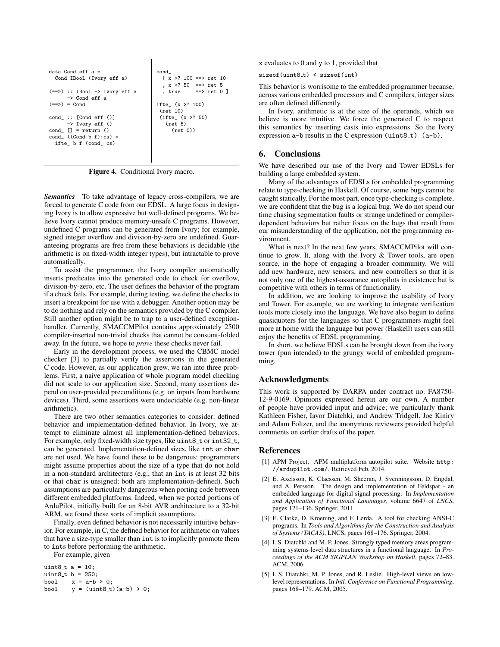| data Cond eff $a =$<br>Cond IBool (Ivory eff a) | cond<br>[ x >? 100 ==> ret 10<br>$x > ? 50$ = > ret 5 |
|-------------------------------------------------|-------------------------------------------------------|
| $(==)$ :: IBool -> Ivory eff a                  | true $\qquad ==$ ret 0 1                              |
| $\rightarrow$ Cond eff a                        |                                                       |
| $(==) =$ Cond                                   | ifte_ $(x > ? 100)$                                   |
|                                                 | (ret 10)                                              |
| $cond_$ : [Cond eff $()$ ]                      | $(ifte_{x} > ? 50)$                                   |
| $\rightarrow$ Ivory eff ()                      | (ret 5)                                               |
| $cond$ $\lceil \rceil$ = return $\lceil \rceil$ | (ret 0))                                              |
| cond $((Cond b f):cs) =$                        |                                                       |
| ifte b f (cond cs)                              |                                                       |
|                                                 |                                                       |

 $\mathbf{I}$ 

Figure 4. Conditional Ivory macro.

*Semantics* To take advantage of legacy cross-compilers, we are forced to generate C code from our EDSL. A large focus in designing Ivory is to allow expressive but well-defined programs. We believe Ivory cannot produce memory-unsafe C programs. However, undefined C programs can be generated from Ivory; for example, signed integer overflow and division-by-zero are undefined. Guaranteeing programs are free from these behaviors is decidable (the arithmetic is on fixed-width integer types), but intractable to prove automatically.

To assist the programmer, the Ivory compiler automatically inserts predicates into the generated code to check for overflow, division-by-zero, etc. The user defines the behavior of the program if a check fails. For example, during testing, we define the checks to insert a breakpoint for use with a debugger. Another option may be to do nothing and rely on the semantics provided by the C compiler. Still another option might be to trap to a user-defined exceptionhandler. Currently, SMACCMPilot contains approximately 2500 compiler-inserted non-trivial checks that cannot be constant-folded away. In the future, we hope to *prove* these checks never fail.

Early in the development process, we used the CBMC model checker [3] to partially verify the assertions in the generated C code. However, as our application grew, we ran into three problems. First, a naive application of whole program model checking did not scale to our application size. Second, many assertions depend on user-provided preconditions (e.g. on inputs from hardware devices). Third, some assertions were undecidable (e.g. non-linear arithmetic).

There are two other semantics categories to consider: defined behavior and implementation-defined behavior. In Ivory, we attempt to eliminate almost all implementation-defined behaviors. For example, only fixed-width size types, like uint8\_t or int32\_t, can be generated. Implementation-defined sizes, like int or char are not used. We have found these to be dangerous: programmers might assume properties about the size of a type that do not hold in a non-standard architecture (e.g., that an int is at least 32 bits or that char is unsigned; both are implementation-defined). Such assumptions are particularly dangerous when porting code between different embedded platforms. Indeed, when we ported portions of ArduPilot, initially built for an 8-bit AVR architecture to a 32-bit ARM, we found these sorts of implicit assumptions.

Finally, even defined behavior is not necessarily intuitive behavior. For example, in C, the defined behavior for arithmetic on values that have a size-type smaller than int is to implicitly promote them to ints before performing the arithmetic.

For example, given

```
uint8-t a = 10;
uint8_t b = 250;<br>bool x = a-bx = a-b > 0;
bool y = (uint8_t)(a-b) > 0;
```
x evaluates to 0 and y to 1, provided that

 $sizeof$ (uint $8_t$ ) <  $sizeof(int)$ 

This behavior is worrisome to the embedded programmer because, across various embedded processors and C compilers, integer sizes are often defined differently.

In Ivory, arithmetic is at the size of the operands, which we believe is more intuitive. We force the generated C to respect this semantics by inserting casts into expressions. So the Ivory expression  $a-b$  results in the C expression (uint $8-t$ ) ( $a-b$ ).

# 6. Conclusions

We have described our use of the Ivory and Tower EDSLs for building a large embedded system.

Many of the advantages of EDSLs for embedded programming relate to type-checking in Haskell. Of course, some bugs cannot be caught statically. For the most part, once type-checking is complete, we are confident that the bug is a logical bug. We do not spend our time chasing segmentation faults or strange undefined or compilerdependent behaviors but rather focus on the bugs that result from our misunderstanding of the application, not the programming environment.

What is next? In the next few years, SMACCMPilot will continue to grow. It, along with the Ivory & Tower tools, are open source, in the hope of engaging a broader community. We will add new hardware, new sensors, and new controllers so that it is not only one of the highest-assurance autopilots in existence but is competitive with others in terms of functionality.

In addition, we are looking to improve the usability of Ivory and Tower. For example, we are working to integrate verification tools more closely into the language. We have also begun to define quasiquoters for the languages so that C programmers might feel more at home with the language but power (Haskell) users can still enjoy the benefits of EDSL programming.

In short, we believe EDSLs can be brought down from the ivory tower (pun intended) to the grungy world of embedded programming.

## Acknowledgments

This work is supported by DARPA under contract no. FA8750- 12-9-0169. Opinions expressed herein are our own. A number of people have provided input and advice; we particularly thank Kathleen Fisher, Iavor Diatchki, and Andrew Tridgell. Joe Kiniry and Adam Foltzer, and the anonymous reviewers provided helpful comments on earlier drafts of the paper.

#### References

- [1] APM Project. APM multiplatform autopilot suite. Website http: //ardupilot.com/. Retrieved Feb. 2014.
- [2] E. Axelsson, K. Claessen, M. Sheeran, J. Svenningsson, D. Engdal, and A. Persson. The design and implementation of Feldspar - an embedded language for digital signal processing. In *Implementation and Application of Functional Languages*, volume 6647 of *LNCS*, pages 121–136. Springer, 2011.
- [3] E. Clarke, D. Kroening, and F. Lerda. A tool for checking ANSI-C programs. In *Tools and Algorithms for the Construction and Analysis of Systems (TACAS)*, LNCS, pages 168–176. Springer, 2004.
- [4] I. S. Diatchki and M. P. Jones. Strongly typed memory areas programming systems-level data structures in a functional language. In *Proceedings of the ACM SIGPLAN Workshop on Haskell*, pages 72–83. ACM, 2006.
- [5] I. S. Diatchki, M. P. Jones, and R. Leslie. High-level views on lowlevel representations. In *Intl. Conference on Functional Programming*, pages 168–179. ACM, 2005.